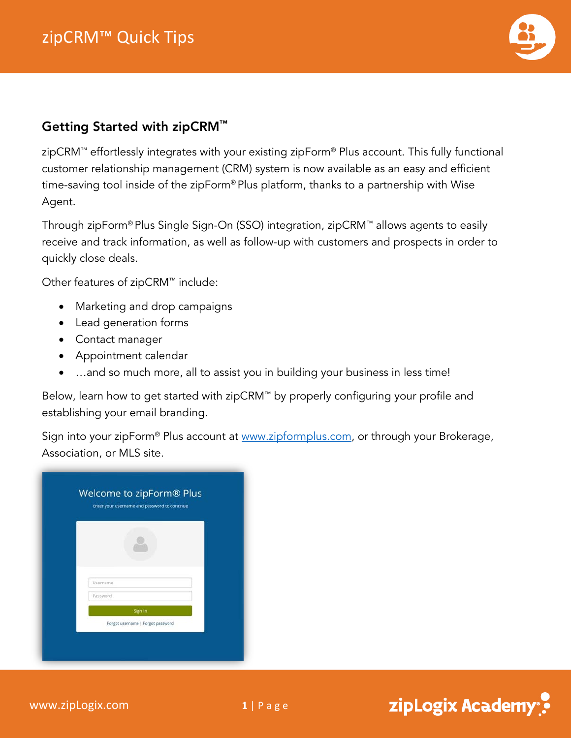

zipLogix Academy<sup>®</sup>

## Getting Started with zipCRM™

zipCRM™ effortlessly integrates with your existing zipForm® Plus account. This fully functional customer relationship management (CRM) system is now available as an easy and efficient time-saving tool inside of the zipForm® Plus platform, thanks to a partnership with Wise Agent.

Through zipForm® Plus Single Sign-On (SSO) integration, zipCRM™ allows agents to easily receive and track information, as well as follow-up with customers and prospects in order to quickly close deals.

Other features of zipCRM™ include:

- Marketing and drop campaigns
- Lead generation forms
- Contact manager
- Appointment calendar
- ...and so much more, all to assist you in building your business in less time!

Below, learn how to get started with zipCRM™ by properly configuring your profile and establishing your email branding.

Sign into your zipForm<sup>®</sup> Plus account at [www.zipformplus.com,](http://www.zipformplus.com/) or through your Brokerage, Association, or MLS site.

|          | Welcome to zipForm® Plus<br>Enter your username and password to continue |  |
|----------|--------------------------------------------------------------------------|--|
|          |                                                                          |  |
|          |                                                                          |  |
|          |                                                                          |  |
| Username |                                                                          |  |
| Password |                                                                          |  |
|          | Sign In                                                                  |  |
|          | Forgot username   Forgot password                                        |  |
|          |                                                                          |  |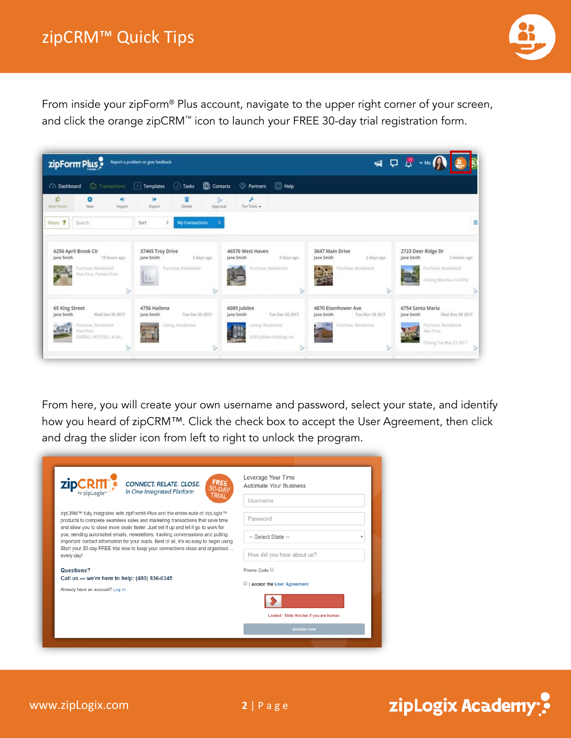

From inside your zipForm® Plus account, navigate to the upper right corner of your screen, and click the orange zipCRM™ icon to launch your FREE 30-day trial registration form.



From here, you will create your own username and password, select your state, and identify how you heard of zipCRM™. Click the check box to accept the User Agreement, then click and drag the slider icon from left to right to unlock the program.

| <b>FREE</b><br><b>CONNECT. RELATE. CLOSE.</b><br>$30 - 5i$<br>In One Integrated Platform                                                                                                                                                                   | Leverage Your Time<br><b>Automate Your Business</b> |
|------------------------------------------------------------------------------------------------------------------------------------------------------------------------------------------------------------------------------------------------------------|-----------------------------------------------------|
|                                                                                                                                                                                                                                                            | Username                                            |
| zipCRM™ fully integrates with zipForm® Plus and the entire suite of zipLogix™<br>products to complete seamless sales and marketing transactions that save time<br>and allow you to close more deals faster. Just set it up and let it go to work for       | Password                                            |
| you, sending automated emails, newsletters, tracking conversations and pulling<br>important contact information for your leads. Best of all, it's so easy to begin using.<br>Start your 30-day FREE trial now to keep your connections close and organized | -- Select State --                                  |
| every day!                                                                                                                                                                                                                                                 | How did you hear about us?                          |
| Questions?                                                                                                                                                                                                                                                 | Promo Code                                          |
| Call us - we're here to help: (480) 836-0345<br>Already have an account? Log In                                                                                                                                                                            | I accept the User Agreement                         |
|                                                                                                                                                                                                                                                            |                                                     |
|                                                                                                                                                                                                                                                            | Locked : Slide this bar if you are human.           |
|                                                                                                                                                                                                                                                            | access now                                          |
|                                                                                                                                                                                                                                                            |                                                     |

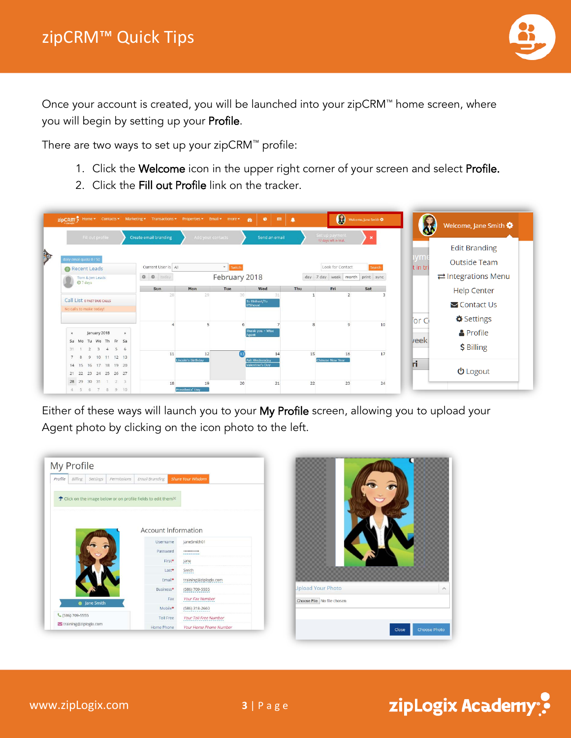

Once your account is created, you will be launched into your zipCRM™ home screen, where you will begin by setting up your Profile.

There are two ways to set up your zipCRM™ profile:

- 1. Click the Welcome icon in the upper right corner of your screen and select Profile.
- 2. Click the Fill out Profile link on the tracker.

|                                                                      |                              |                          |                                  |     | $\circledast$                            |          |                 | Welcome, Jane Smith                  |
|----------------------------------------------------------------------|------------------------------|--------------------------|----------------------------------|-----|------------------------------------------|----------|-----------------|--------------------------------------|
| Fill out profile                                                     | <b>Create email branding</b> | Add your contacts        | Send an email                    |     | Set up payment<br>17 days left in trial. |          |                 | <b>Edit Branding</b>                 |
| daily email quota 0 / 50<br><b>O</b> Recent Leads                    | Current User is All          | v Switch                 |                                  |     | Look for Contact                         | Search   | aym<br>t in tri | <b>Outside Team</b>                  |
| Tom & Jen Leads<br>$Q$ 7 days                                        | <b>0 0</b> today             | February 2018            |                                  |     | day 7 day week month print sync          |          |                 | $\rightleftarrows$ Integrations Menu |
|                                                                      | Sun<br>28                    | Mon<br>Tue<br>29         | Wed<br>30<br>31                  | Thu | Fri<br>$\overline{2}$                    | Sat<br>3 |                 | <b>Help Center</b>                   |
| Call List o PAST DUE CALLS<br>No calls to make today!                |                              |                          | Tu Bishvat/Tu<br><b>B'Shevat</b> |     |                                          |          |                 | $\triangleright$ Contact Us          |
|                                                                      |                              | 5                        | 6                                | R   | $\overline{q}$                           | 10       | for C           | Settings                             |
| January 2018<br>$\mathbf{m}$<br>$\alpha$                             |                              |                          | Thank you - Wise<br>Anent        |     |                                          |          |                 | <b>A</b> Profile                     |
| Su Mo Tu We Th Fr Sa<br>$2 \t3 \t4 \t5 \t6$<br>$31 -$                |                              |                          |                                  |     |                                          |          | <b>l</b> eek    | \$ Billing                           |
| 9 10 11 12 13<br>7<br>8                                              | 11                           | 12<br>Lincoln's Birthday | 偭<br>14<br>Ash Wednesday         | 15  | 16<br>Chinese New Year                   | 17       |                 |                                      |
| 14    15    16    17    18    19    20<br>21  22  23  24  25  26  27 |                              |                          | Valentine's Day                  |     |                                          |          | n               | <b>む</b> Logout                      |
|                                                                      |                              |                          |                                  |     |                                          |          |                 |                                      |

Either of these ways will launch you to your My Profile screen, allowing you to upload your Agent photo by clicking on the icon photo to the left.

| Profile | Billing        | Settings   | Permissions | <b>Email Branding</b>                                        | <b>Share Your Wisdom</b>     |
|---------|----------------|------------|-------------|--------------------------------------------------------------|------------------------------|
|         |                |            |             |                                                              |                              |
|         |                |            |             | ← Click on the image below or on profile fields to edit them |                              |
|         |                |            |             |                                                              |                              |
|         |                |            |             |                                                              |                              |
|         |                |            |             |                                                              |                              |
|         |                |            |             | <b>Account Information</b>                                   |                              |
|         |                |            |             | Username                                                     |                              |
|         |                |            |             |                                                              | JaneSmith01                  |
|         |                |            |             |                                                              |                              |
|         |                |            |             | Password                                                     |                              |
|         |                |            |             | First*                                                       | Jane                         |
|         |                |            |             | $Last*$                                                      | Smith                        |
|         |                |            |             | Fmail*                                                       | training@ziplogix.com        |
|         |                |            |             | Business*                                                    | (586) 709-5555               |
|         |                |            |             | Fax                                                          | <b>Your Fax Number</b>       |
|         |                | Jane Smith |             | Mobile*                                                      | $(586)$ 318-2660             |
|         | (586) 709-5555 |            |             | <b>Toll Free</b>                                             | <b>Your Toll Free Number</b> |



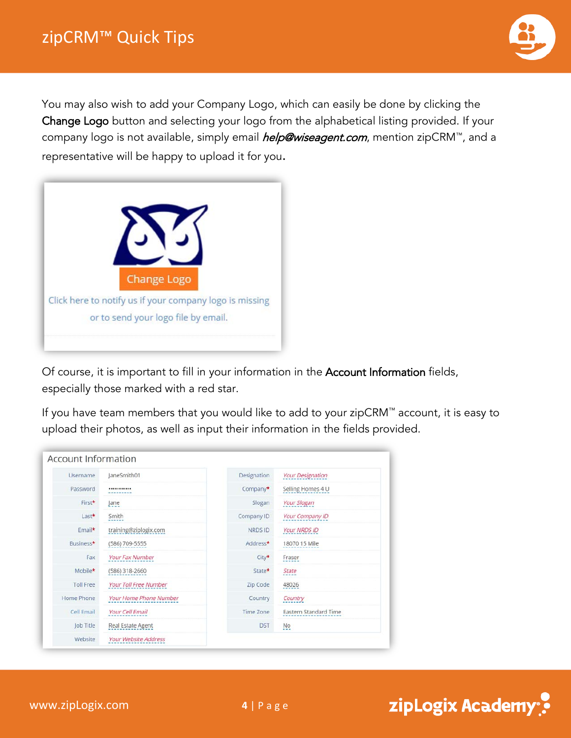

You may also wish to add your Company Logo, which can easily be done by clicking the Change Logo button and selecting your logo from the alphabetical listing provided. If your company logo is not available, simply email *help@wiseagent.com*, mention zipCRM™, and a representative will be happy to upload it for you.



Of course, it is important to fill in your information in the Account Information fields, especially those marked with a red star.

If you have team members that you would like to add to your zipCRM™ account, it is easy to upload their photos, as well as input their information in the fields provided.

| <b>Usemame</b>   | JaneSmith01            | Designation    | <b>Your Designation</b> |
|------------------|------------------------|----------------|-------------------------|
| Password         |                        | Company*       | Selling Homes 4 U       |
| First*           | Jane                   | Slogan         | <b>Your Slogan</b>      |
| $Last*$          | Smith                  | Company ID     | Your Company ID         |
| Email*           | training@ziplogix.com  | <b>NRDS ID</b> | Your NRDS ID            |
| Business*        | (586) 709-5555         | Address*       | 18070 15 Mile           |
| Fax              | Your Fax Number        | City*          | Fraser                  |
| Mobile*          | (586) 318-2660         | State*         | State                   |
| <b>Toll Free</b> | Your Toll Free Number  | Zip Code       | 48026                   |
| Home Phone       | Your Home Phone Number | Country        | Country                 |
| Cell Email       | Your Cell Email        | Time Zone      | Eastern Standard Time   |
| Job Title        | Real Estate Agent      | <b>DST</b>     | <b>No</b><br>---        |
| Website          | Your Website Address   |                |                         |

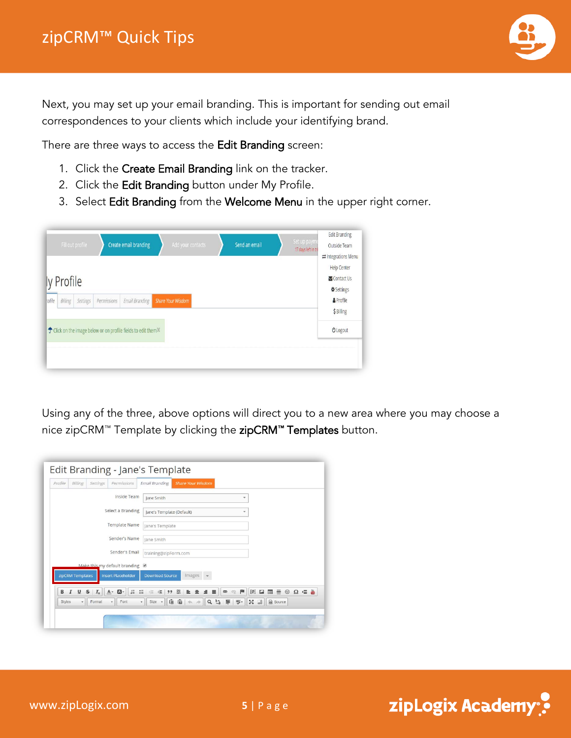

Next, you may set up your email branding. This is important for sending out email correspondences to your clients which include your identifying brand.

There are three ways to access the Edit Branding screen:

- 1. Click the Create Email Branding link on the tracker.
- 2. Click the Edit Branding button under My Profile.
- 3. Select Edit Branding from the Welcome Menu in the upper right corner.

| ly Profile<br>rofile<br>Billing<br><b>Share Your Wisdom</b><br>Settings<br>Permissions<br>Email Branding<br><sup>*</sup> Click on the image below or on profile fields to edit them <sup>x</sup> | Fill out profile |  | Create email branding | Add your contacts | Send an email | Set up payme<br>17 days left in tri | <b>Edit Branding</b><br>Outside Team<br>$\rightleftarrows$ Integrations Menu |
|--------------------------------------------------------------------------------------------------------------------------------------------------------------------------------------------------|------------------|--|-----------------------|-------------------|---------------|-------------------------------------|------------------------------------------------------------------------------|
|                                                                                                                                                                                                  |                  |  |                       |                   |               |                                     | <b>Help Center</b><br>Contact Us<br>Settings                                 |
|                                                                                                                                                                                                  |                  |  |                       |                   |               |                                     | & Profile<br>\$ Billing                                                      |
|                                                                                                                                                                                                  |                  |  |                       |                   |               |                                     | <b>U</b> Logout                                                              |

Using any of the three, above options will direct you to a new area where you may choose a nice zipCRM™ Template by clicking the zipCRM™ Templates button.

| Profile       | Billing               | Settings                | Permissions                     | <b>Share Your Wisdom</b><br><b>Email Branding</b>                                                                                                     |
|---------------|-----------------------|-------------------------|---------------------------------|-------------------------------------------------------------------------------------------------------------------------------------------------------|
|               |                       |                         | Inside Team                     | Jane Smith<br>÷                                                                                                                                       |
|               |                       |                         | Select a Branding               | Jane's Template (Default)<br>۰                                                                                                                        |
|               |                       |                         | <b>Template Name</b>            | Jane's Template                                                                                                                                       |
|               |                       |                         | Sender's Name                   | lane Smith                                                                                                                                            |
|               |                       |                         | Sender's Email                  | training@zipForm.com                                                                                                                                  |
|               |                       |                         | Make this my default branding @ |                                                                                                                                                       |
|               | zipCRM Templates      |                         | <b>Insert Placeholder</b>       | <b>Download Source</b><br>Images                                                                                                                      |
| в             | U<br>$\boldsymbol{I}$ | $\mathbf{s}$<br>$I_{x}$ | $\mathbf{a}$<br>$A -$           | 田 一<br>$\odot$<br>$\Omega = \frac{1}{2}$<br><b>卡 99 58</b><br>10 10 10<br><b>E</b> 量<br>间<br>[P]<br>$\overline{\mathbf{L}}$<br>$\equiv$ $\equiv$<br>œ |
| <b>Styles</b> | $\star$               | Format                  | Font<br>$\star$                 | 偏<br>匾<br>$12 - 22$<br>Source<br>眵-<br>$Size -$<br>$\cdot$                                                                                            |